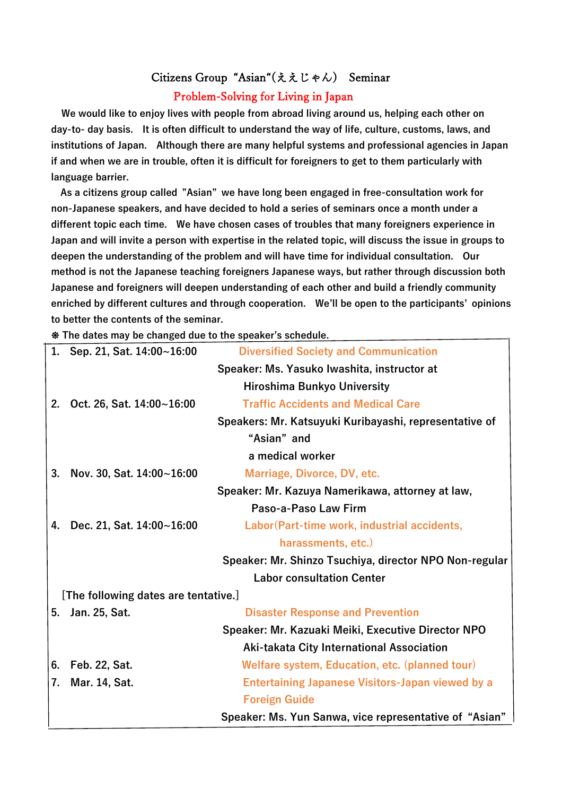## Citizens Group "Asian"(ええじゃん) Seminar

## Problem-Solving for Living in Japan

**We would like to enjoy lives with people from abroad living around us, helping each other on day-to- day basis. It is often difficult to understand the way of life, culture, customs, laws, and institutions of Japan. Although there are many helpful systems and professional agencies in Japan if and when we are in trouble, often it is difficult for foreigners to get to them particularly with language barrier.** 

**As a citizens group called "Asian" we have long been engaged in free-consultation work for non-Japanese speakers, and have decided to hold a series of seminars once a month under a different topic each time. We have chosen cases of troubles that many foreigners experience in Japan and will invite a person with expertise in the related topic, will discuss the issue in groups to deepen the understanding of the problem and will have time for individual consultation. Our method is not the Japanese teaching foreigners Japanese ways, but rather through discussion both Japanese and foreigners will deepen understanding of each other and build a friendly community enriched by different cultures and through cooperation. We'll be open to the participants' opinions to better the contents of the seminar.**

❉ **The dates may be changed due to the speaker's schedule.** 

| 1.                                                     | Sep. 21, Sat. 14:00~16:00                              | <b>Diversified Society and Communication</b>            |  |  |  |  |  |  |  |  |  |  |  |  |
|--------------------------------------------------------|--------------------------------------------------------|---------------------------------------------------------|--|--|--|--|--|--|--|--|--|--|--|--|
|                                                        | Speaker: Ms. Yasuko Iwashita, instructor at            |                                                         |  |  |  |  |  |  |  |  |  |  |  |  |
|                                                        |                                                        | Hiroshima Bunkyo University                             |  |  |  |  |  |  |  |  |  |  |  |  |
| 2.                                                     | Oct. 26, Sat. 14:00~16:00                              | <b>Traffic Accidents and Medical Care</b>               |  |  |  |  |  |  |  |  |  |  |  |  |
| Speakers: Mr. Katsuyuki Kuribayashi, representative of |                                                        |                                                         |  |  |  |  |  |  |  |  |  |  |  |  |
| "Asian" and                                            |                                                        |                                                         |  |  |  |  |  |  |  |  |  |  |  |  |
|                                                        | a medical worker                                       |                                                         |  |  |  |  |  |  |  |  |  |  |  |  |
| 3.                                                     | Nov. 30, Sat. $14:00 \sim 16:00$                       | Marriage, Divorce, DV, etc.                             |  |  |  |  |  |  |  |  |  |  |  |  |
| Speaker: Mr. Kazuya Namerikawa, attorney at law,       |                                                        |                                                         |  |  |  |  |  |  |  |  |  |  |  |  |
|                                                        |                                                        | Paso-a-Paso Law Firm                                    |  |  |  |  |  |  |  |  |  |  |  |  |
| 4.                                                     | Dec. 21, Sat. 14:00~16:00                              | Labor (Part-time work, industrial accidents,            |  |  |  |  |  |  |  |  |  |  |  |  |
|                                                        | harassments, etc.)                                     |                                                         |  |  |  |  |  |  |  |  |  |  |  |  |
|                                                        | Speaker: Mr. Shinzo Tsuchiya, director NPO Non-regular |                                                         |  |  |  |  |  |  |  |  |  |  |  |  |
|                                                        | <b>Labor consultation Center</b>                       |                                                         |  |  |  |  |  |  |  |  |  |  |  |  |
| [The following dates are tentative.]                   |                                                        |                                                         |  |  |  |  |  |  |  |  |  |  |  |  |
| 5.                                                     | Jan. 25, Sat.                                          | <b>Disaster Response and Prevention</b>                 |  |  |  |  |  |  |  |  |  |  |  |  |
|                                                        | Speaker: Mr. Kazuaki Meiki, Executive Director NPO     |                                                         |  |  |  |  |  |  |  |  |  |  |  |  |
|                                                        |                                                        | Aki-takata City International Association               |  |  |  |  |  |  |  |  |  |  |  |  |
| 6.                                                     | Feb. 22, Sat.                                          | Welfare system, Education, etc. (planned tour)          |  |  |  |  |  |  |  |  |  |  |  |  |
| 7.                                                     | Mar. 14, Sat.                                          | <b>Entertaining Japanese Visitors-Japan viewed by a</b> |  |  |  |  |  |  |  |  |  |  |  |  |
|                                                        |                                                        | <b>Foreign Guide</b>                                    |  |  |  |  |  |  |  |  |  |  |  |  |
| Speaker: Ms. Yun Sanwa, vice representative of "Asian" |                                                        |                                                         |  |  |  |  |  |  |  |  |  |  |  |  |